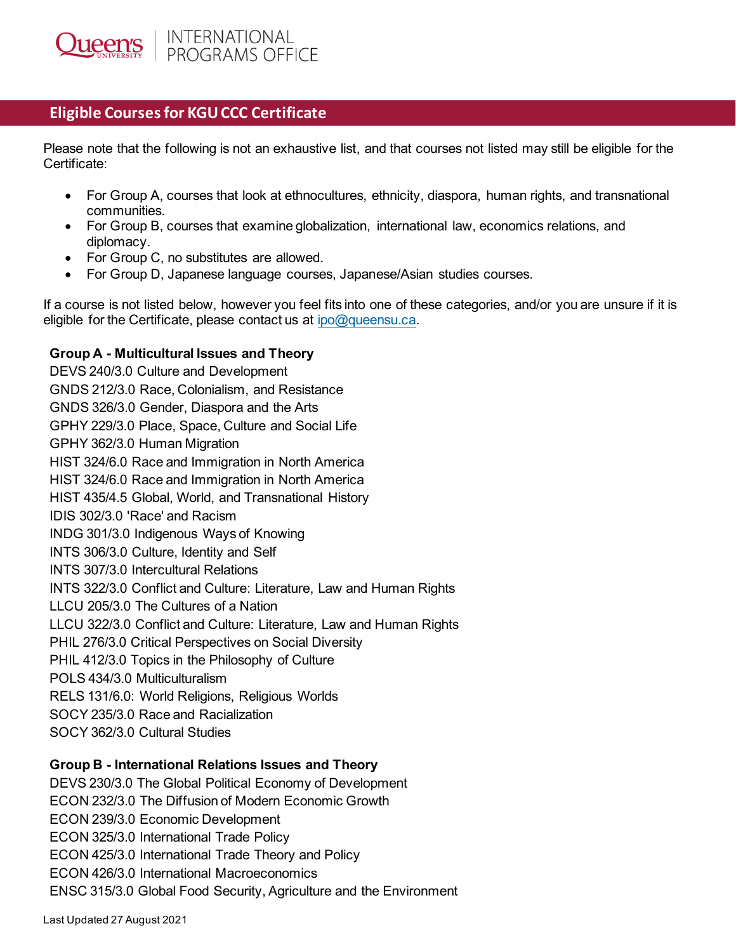## **Eligible Courses for KGU CCC Certificate**

Please note that the following is not an exhaustive list, and that courses not listed may still be eligible for the Certificate:

- For Group A, courses that look at ethnocultures, ethnicity, diaspora, human rights, and transnational communities.
- For Group B, courses that examine globalization, international law, economics relations, and diplomacy.
- For Group C, no substitutes are allowed.
- For Group D, Japanese language courses, Japanese/Asian studies courses.

If a course is not listed below, however you feel fits into one of these categories, and/or you are unsure if it is eligible for the Certificate, please contact us at [ipo@queensu.ca.](mailto:ipo@queensu.ca)

## **Group A - Multicultural Issues and Theory**

DEVS 240/3.0 Culture and Development GNDS 212/3.0 Race, Colonialism, and Resistance GNDS 326/3.0 Gender, Diaspora and the Arts GPHY 229/3.0 Place, Space, Culture and Social Life GPHY 362/3.0 Human Migration HIST 324/6.0 Race and Immigration in North America HIST 324/6.0 Race and Immigration in North America HIST 435/4.5 Global, World, and Transnational History IDIS 302/3.0 'Race' and Racism INDG 301/3.0 Indigenous Ways of Knowing INTS 306/3.0 Culture, Identity and Self INTS 307/3.0 Intercultural Relations INTS 322/3.0 Conflict and Culture: Literature, Law and Human Rights LLCU 205/3.0 The Cultures of a Nation LLCU 322/3.0 Conflict and Culture: Literature, Law and Human Rights PHIL 276/3.0 Critical Perspectives on Social Diversity PHIL 412/3.0 Topics in the Philosophy of Culture POLS 434/3.0 Multiculturalism RELS 131/6.0: World Religions, Religious Worlds SOCY 235/3.0 Race and Racialization SOCY 362/3.0 Cultural Studies

## **Group B - International Relations Issues and Theory**

DEVS 230/3.0 The Global Political Economy of Development ECON 232/3.0 The Diffusion of Modern Economic Growth ECON 239/3.0 Economic Development ECON 325/3.0 International Trade Policy ECON 425/3.0 International Trade Theory and Policy ECON 426/3.0 International Macroeconomics ENSC 315/3.0 Global Food Security, Agriculture and the Environment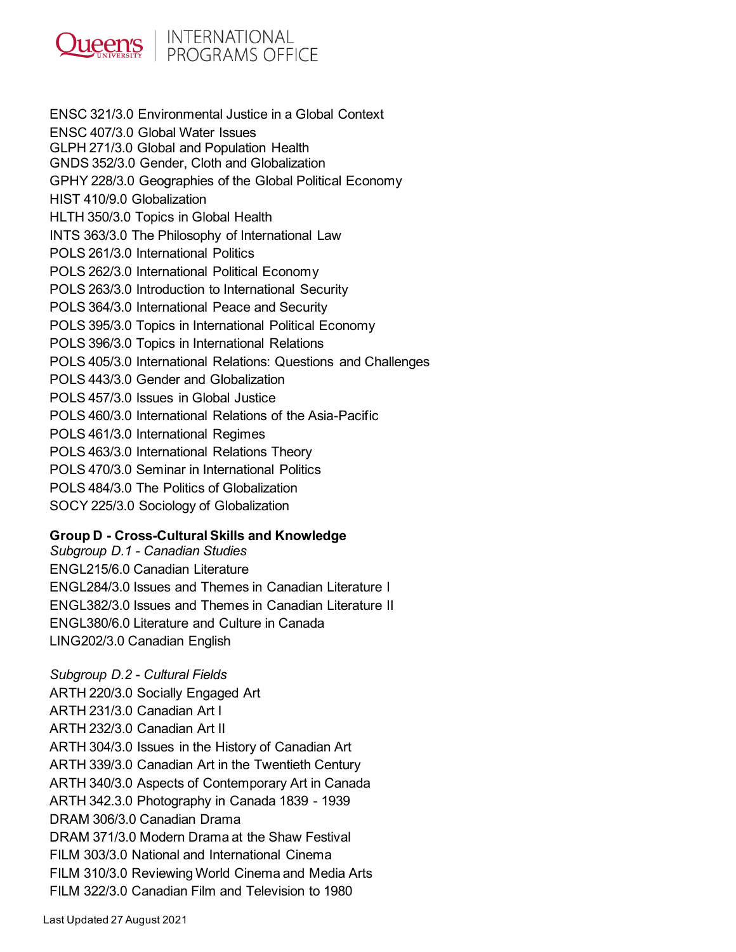

ENSC 321/3.0 Environmental Justice in a Global Context ENSC 407/3.0 Global Water Issues GLPH 271/3.0 Global and Population Health GNDS 352/3.0 Gender, Cloth and Globalization GPHY 228/3.0 Geographies of the Global Political Economy HIST 410/9.0 Globalization HLTH 350/3.0 Topics in Global Health INTS 363/3.0 The Philosophy of International Law POLS 261/3.0 International Politics POLS 262/3.0 International Political Economy POLS 263/3.0 Introduction to International Security POLS 364/3.0 International Peace and Security POLS 395/3.0 Topics in International Political Economy POLS 396/3.0 Topics in International Relations POLS 405/3.0 International Relations: Questions and Challenges POLS 443/3.0 Gender and Globalization POLS 457/3.0 Issues in Global Justice POLS 460/3.0 International Relations of the Asia-Pacific POLS 461/3.0 International Regimes POLS 463/3.0 International Relations Theory POLS 470/3.0 Seminar in International Politics POLS 484/3.0 The Politics of Globalization SOCY 225/3.0 Sociology of Globalization

## **Group D - Cross-Cultural Skills and Knowledge**

*Subgroup D.1 - Canadian Studies* ENGL215/6.0 Canadian Literature ENGL284/3.0 Issues and Themes in Canadian Literature I ENGL382/3.0 Issues and Themes in Canadian Literature II ENGL380/6.0 Literature and Culture in Canada LING202/3.0 Canadian English

*Subgroup D.2 - Cultural Fields* ARTH 220/3.0 Socially Engaged Art ARTH 231/3.0 Canadian Art I ARTH 232/3.0 Canadian Art II ARTH 304/3.0 Issues in the History of Canadian Art ARTH 339/3.0 Canadian Art in the Twentieth Century ARTH 340/3.0 Aspects of Contemporary Art in Canada ARTH 342.3.0 Photography in Canada 1839 - 1939 DRAM 306/3.0 Canadian Drama DRAM 371/3.0 Modern Drama at the Shaw Festival FILM 303/3.0 National and International Cinema FILM 310/3.0 Reviewing World Cinema and Media Arts FILM 322/3.0 Canadian Film and Television to 1980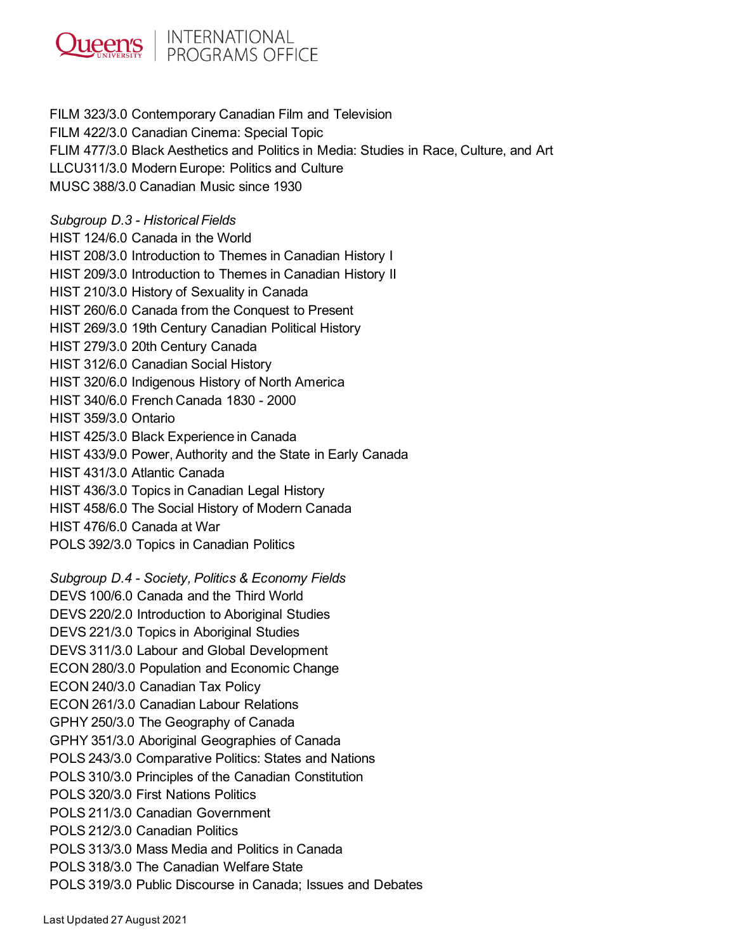

FILM 323/3.0 Contemporary Canadian Film and Television FILM 422/3.0 Canadian Cinema: Special Topic FLIM 477/3.0 Black Aesthetics and Politics in Media: Studies in Race, Culture, and Art LLCU311/3.0 Modern Europe: Politics and Culture MUSC 388/3.0 Canadian Music since 1930

*Subgroup D.3 - Historical Fields*

HIST 124/6.0 Canada in the World HIST 208/3.0 Introduction to Themes in Canadian History I HIST 209/3.0 Introduction to Themes in Canadian History II HIST 210/3.0 History of Sexuality in Canada HIST 260/6.0 Canada from the Conquest to Present HIST 269/3.0 19th Century Canadian Political History HIST 279/3.0 20th Century Canada HIST 312/6.0 Canadian Social History HIST 320/6.0 Indigenous History of North America HIST 340/6.0 French Canada 1830 - 2000 HIST 359/3.0 Ontario HIST 425/3.0 Black Experience in Canada HIST 433/9.0 Power, Authority and the State in Early Canada HIST 431/3.0 Atlantic Canada HIST 436/3.0 Topics in Canadian Legal History HIST 458/6.0 The Social History of Modern Canada HIST 476/6.0 Canada at War POLS 392/3.0 Topics in Canadian Politics *Subgroup D.4 - Society, Politics & Economy Fields* DEVS 100/6.0 Canada and the Third World DEVS 220/2.0 Introduction to Aboriginal Studies DEVS 221/3.0 Topics in Aboriginal Studies DEVS 311/3.0 Labour and Global Development ECON 280/3.0 Population and Economic Change ECON 240/3.0 Canadian Tax Policy ECON 261/3.0 Canadian Labour Relations GPHY 250/3.0 The Geography of Canada GPHY 351/3.0 Aboriginal Geographies of Canada POLS 243/3.0 Comparative Politics: States and Nations POLS 310/3.0 Principles of the Canadian Constitution POLS 320/3.0 First Nations Politics POLS 211/3.0 Canadian Government POLS 212/3.0 Canadian Politics POLS 313/3.0 Mass Media and Politics in Canada POLS 318/3.0 The Canadian Welfare State POLS 319/3.0 Public Discourse in Canada; Issues and Debates